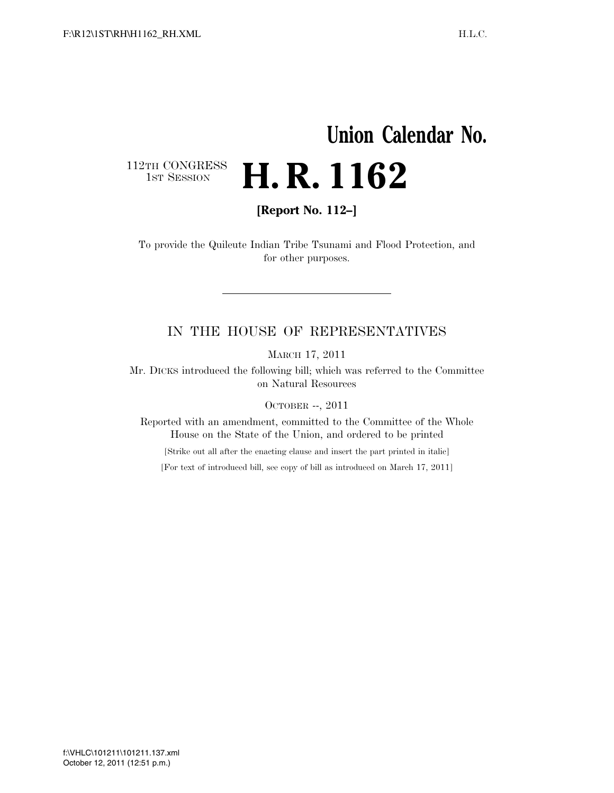## **Union Calendar No.**  112TH CONGRESS<br>1st Session **H. R. 1162**

**[Report No. 112–]** 

To provide the Quileute Indian Tribe Tsunami and Flood Protection, and for other purposes.

## IN THE HOUSE OF REPRESENTATIVES

MARCH 17, 2011

Mr. DICKS introduced the following bill; which was referred to the Committee on Natural Resources

OCTOBER --, 2011

Reported with an amendment, committed to the Committee of the Whole House on the State of the Union, and ordered to be printed

[Strike out all after the enacting clause and insert the part printed in italic]

[For text of introduced bill, see copy of bill as introduced on March 17, 2011]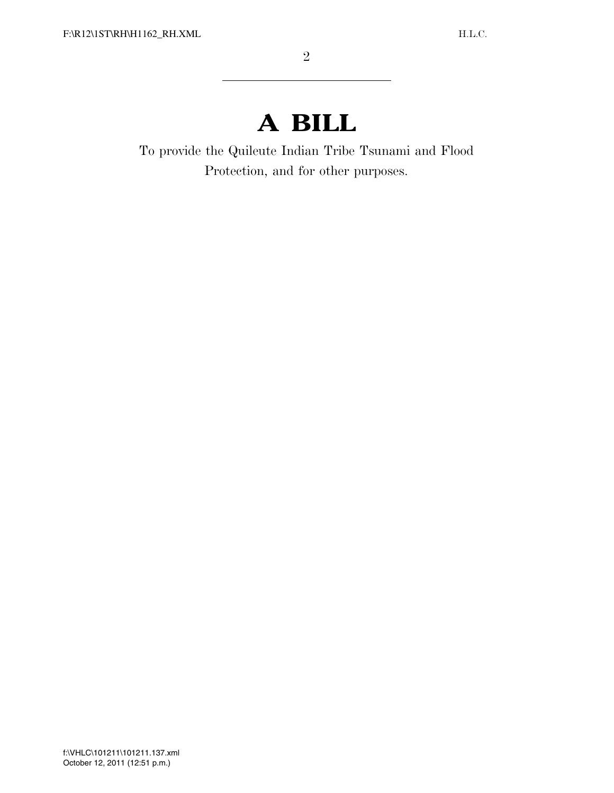## **A BILL**

To provide the Quileute Indian Tribe Tsunami and Flood Protection, and for other purposes.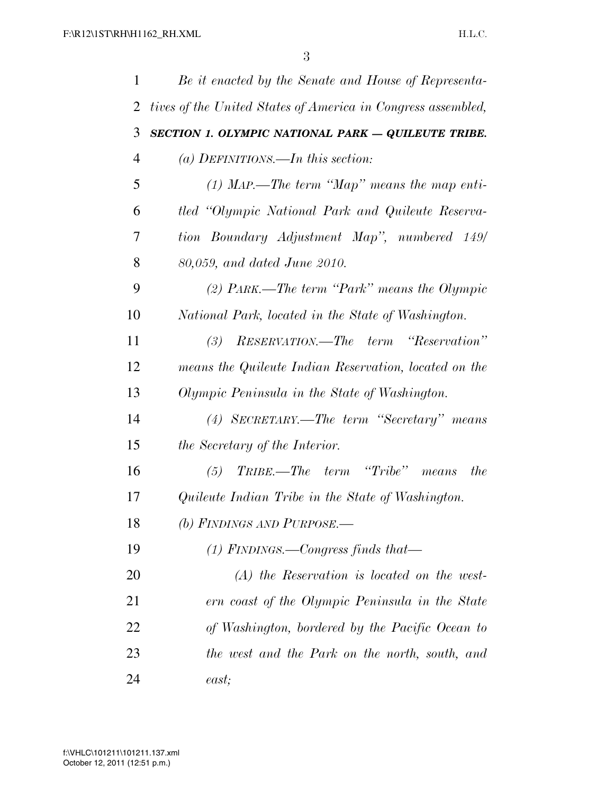| $\mathbf{1}$   | Be it enacted by the Senate and House of Representa-         |
|----------------|--------------------------------------------------------------|
| $\overline{2}$ | tives of the United States of America in Congress assembled, |
| 3              | SECTION 1. OLYMPIC NATIONAL PARK - QUILEUTE TRIBE.           |
| $\overline{4}$ | (a) DEFINITIONS.—In this section:                            |
| 5              | $(1)$ MAP.—The term "Map" means the map enti-                |
| 6              | tled "Olympic National Park and Quileute Reserva-            |
| 7              | tion Boundary Adjustment Map", numbered 149/                 |
| 8              | 80,059, and dated June 2010.                                 |
| 9              | (2) PARK.—The term "Park" means the Olympic                  |
| 10             | National Park, located in the State of Washington.           |
| 11             | RESERVATION.—The term "Reservation"<br>(3)                   |
| 12             | means the Quileute Indian Reservation, located on the        |
| 13             | Olympic Peninsula in the State of Washington.                |
| 14             | (4) SECRETARY.—The term "Secretary" means                    |
| 15             | the Secretary of the Interior.                               |
| 16             | $TRIBE. - The$ $term$ $"Tribe"$<br>(5)<br>the<br>means       |
| 17             | Quileute Indian Tribe in the State of Washington.            |
| 18             | (b) FINDINGS AND PURPOSE.-                                   |
| 19             | $(1)$ FINDINGS.—Congress finds that—                         |
| 20             | $(A)$ the Reservation is located on the west-                |
| 21             | ern coast of the Olympic Peninsula in the State              |
| 22             | of Washington, bordered by the Pacific Ocean to              |
| 23             | the west and the Park on the north, south, and               |
| 24             | east;                                                        |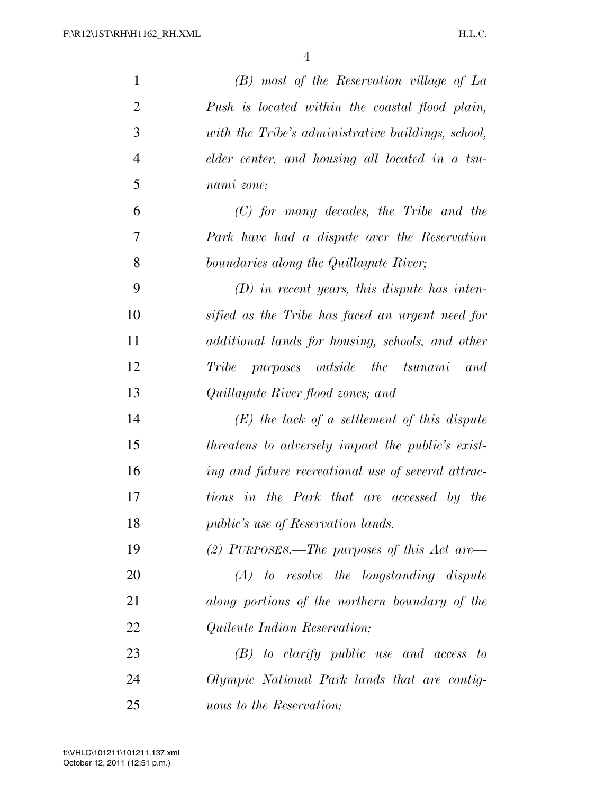| $\mathbf{1}$   | $(B)$ most of the Reservation village of La              |
|----------------|----------------------------------------------------------|
| $\overline{2}$ | Push is located within the coastal flood plain,          |
| 3              | with the Tribe's administrative buildings, school,       |
| $\overline{4}$ | elder center, and housing all located in a tsu-          |
| 5              | nami zone;                                               |
| 6              | $(C)$ for many decades, the Tribe and the                |
| 7              | Park have had a dispute over the Reservation             |
| 8              | boundaries along the Quillayute River;                   |
| 9              | $(D)$ in recent years, this dispute has inten-           |
| 10             | sified as the Tribe has faced an urgent need for         |
| 11             | additional lands for housing, schools, and other         |
| 12             | $\mathit{Triple}$<br>purposes outside the tsunami<br>and |
| 13             | Quillayute River flood zones; and                        |
| 14             | $(E)$ the lack of a settlement of this dispute           |
| 15             | threatens to adversely impact the public's exist-        |
| 16             | ing and future recreational use of several attrac-       |
| 17             | tions in the Park that are accessed by the               |
| 18             | <i>public's use of Reservation lands.</i>                |
| 19             | (2) PURPOSES.—The purposes of this Act are—              |
| 20             | $(A)$ to resolve the longstanding dispute                |
| 21             | along portions of the northern boundary of the           |
| 22             | <i>Quileute Indian Reservation;</i>                      |
| 23             | $(B)$ to clarify public use and access to                |
| 24             | Olympic National Park lands that are contig-             |
| 25             | <i>uous to the Reservation;</i>                          |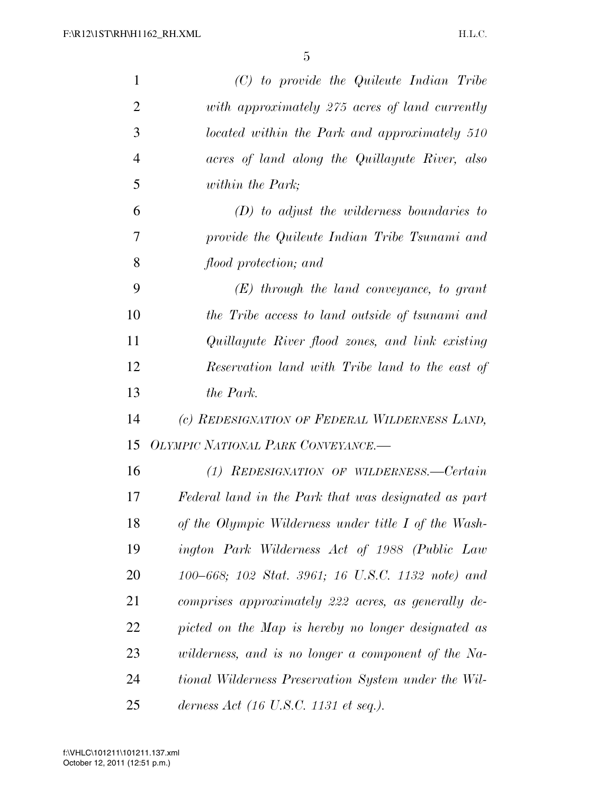| 1              | $(C)$ to provide the Quileute Indian Tribe           |
|----------------|------------------------------------------------------|
| $\overline{2}$ | with approximately 275 acres of land currently       |
| 3              | located within the Park and approximately 510        |
| 4              | acres of land along the Quillayute River, also       |
| 5              | within the Park;                                     |
| 6              | $(D)$ to adjust the wilderness boundaries to         |
| 7              | provide the Quileute Indian Tribe Tsunami and        |
| 8              | flood protection; and                                |
| 9              | $(E)$ through the land conveyance, to grant          |
| 10             | the Tribe access to land outside of tsunami and      |
| 11             | Quillayute River flood zones, and link existing      |
| 12             | Reservation land with Tribe land to the east of      |
| 13             | the Park.                                            |
| 14             | (c) REDESIGNATION OF FEDERAL WILDERNESS LAND,        |
| 15             | OLYMPIC NATIONAL PARK CONVEYANCE.-                   |
| 16             | (1) REDESIGNATION OF WILDERNESS.—Certain             |
| 17             | Federal land in the Park that was designated as part |
| 18             | of the Olympic Wilderness under title I of the Wash- |
| 19             | ington Park Wilderness Act of 1988 (Public Law       |
| 20             | 100–668; 102 Stat. 3961; 16 U.S.C. 1132 note) and    |
| 21             | comprises approximately 222 acres, as generally de-  |
| 22             | picted on the Map is hereby no longer designated as  |
| 23             | wilderness, and is no longer a component of the Na-  |
| 24             | tional Wilderness Preservation System under the Wil- |
| 25             | derness $Act$ (16 U.S.C. 1131 et seq.).              |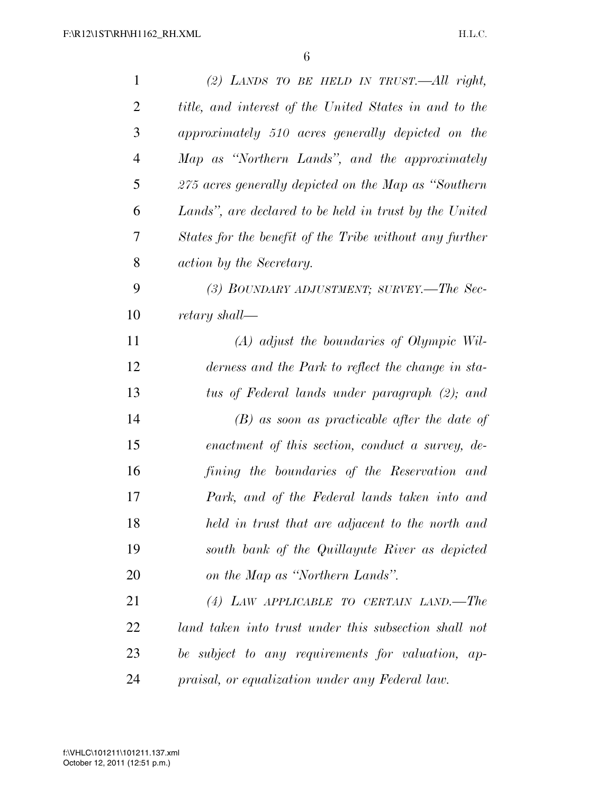| $\mathbf{1}$   | (2) LANDS TO BE HELD IN TRUST.—All right,               |
|----------------|---------------------------------------------------------|
| $\overline{2}$ | title, and interest of the United States in and to the  |
| 3              | approximately 510 acres generally depicted on the       |
| $\overline{4}$ | Map as "Northern Lands", and the approximately          |
| 5              | 275 acres generally depicted on the Map as "Southern"   |
| 6              | Lands", are declared to be held in trust by the United  |
| 7              | States for the benefit of the Tribe without any further |
| 8              | action by the Secretary.                                |
| 9              | (3) BOUNDARY ADJUSTMENT; SURVEY.—The Sec-               |
| 10             | retary shall—                                           |
| 11             | $(A)$ adjust the boundaries of Olympic Wil-             |
| 12             | derness and the Park to reflect the change in sta-      |
| 13             | tus of Federal lands under paragraph (2); and           |
| 14             | $(B)$ as soon as practicable after the date of          |
| 15             | enactment of this section, conduct a survey, de-        |
| 16             | fining the boundaries of the Reservation and            |
| 17             | Park, and of the Federal lands taken into and           |
| 18             | held in trust that are adjacent to the north and        |
| 19             | south bank of the Quillayute River as depicted          |
| 20             | on the Map as "Northern Lands".                         |
| 21             | (4) LAW APPLICABLE TO CERTAIN LAND.—The                 |
| 22             | land taken into trust under this subsection shall not   |
| 23             | be subject to any requirements for valuation, ap-       |
| 24             | praisal, or equalization under any Federal law.         |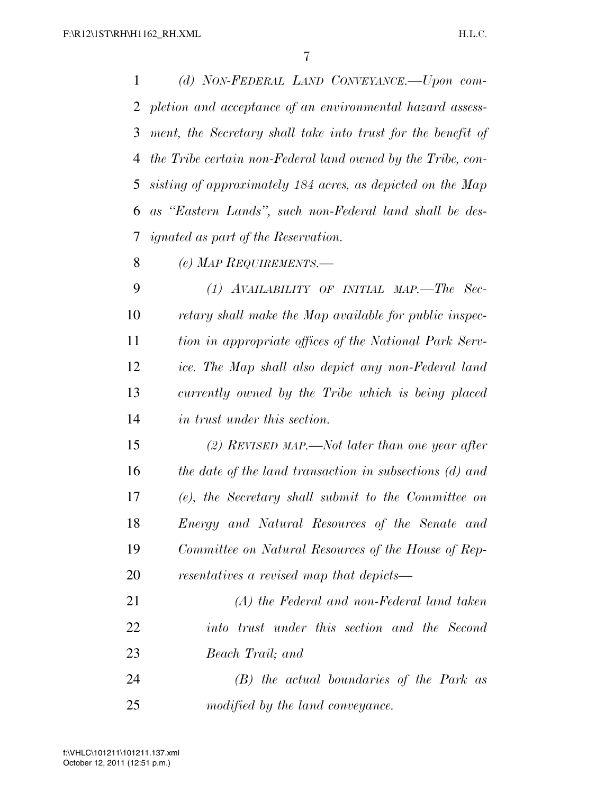*(d) NON-FEDERAL LAND CONVEYANCE.—Upon com- pletion and acceptance of an environmental hazard assess- ment, the Secretary shall take into trust for the benefit of the Tribe certain non-Federal land owned by the Tribe, con- sisting of approximately 184 acres, as depicted on the Map as ''Eastern Lands'', such non-Federal land shall be des-ignated as part of the Reservation.* 

*(e) MAP REQUIREMENTS.—* 

 *(1) AVAILABILITY OF INITIAL MAP.—The Sec- retary shall make the Map available for public inspec- tion in appropriate offices of the National Park Serv- ice. The Map shall also depict any non-Federal land currently owned by the Tribe which is being placed in trust under this section.* 

 *(2) REVISED MAP.—Not later than one year after the date of the land transaction in subsections (d) and (e), the Secretary shall submit to the Committee on Energy and Natural Resources of the Senate and Committee on Natural Resources of the House of Rep-resentatives a revised map that depicts—* 

 *(A) the Federal and non-Federal land taken into trust under this section and the Second Beach Trail; and* 

 *(B) the actual boundaries of the Park as modified by the land conveyance.*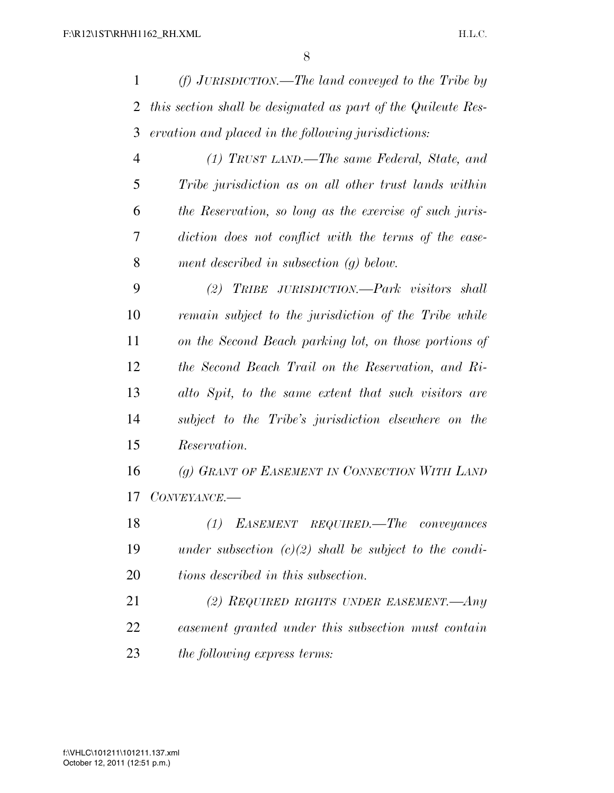|              | (f) JURISDICTION.—The land conveyed to the Tribe by             |
|--------------|-----------------------------------------------------------------|
|              | 2 this section shall be designated as part of the Quileute Res- |
|              | 3 ervation and placed in the following jurisdictions:           |
| 4            | $(1)$ TRUST LAND.—The same Federal, State, and                  |
| 5            | Tribe jurisdiction as on all other trust lands within           |
| 6            | the Reservation, so long as the exercise of such juris-         |
| 7            | diction does not conflict with the terms of the ease-           |
| 8            | ment described in subsection $(q)$ below.                       |
| $\mathbf{A}$ | 777<br>$(0)$ Horn HUNTAR CHICAL<br>$\mathbf{D}$                 |

 *(2) TRIBE JURISDICTION.—Park visitors shall remain subject to the jurisdiction of the Tribe while on the Second Beach parking lot, on those portions of the Second Beach Trail on the Reservation, and Ri- alto Spit, to the same extent that such visitors are subject to the Tribe's jurisdiction elsewhere on the Reservation.* 

 *(g) GRANT OF EASEMENT IN CONNECTION WITH LAND CONVEYANCE.—* 

 *(1) EASEMENT REQUIRED.—The conveyances under subsection (c)(2) shall be subject to the condi-tions described in this subsection.* 

 *(2) REQUIRED RIGHTS UNDER EASEMENT.—Any easement granted under this subsection must contain the following express terms:*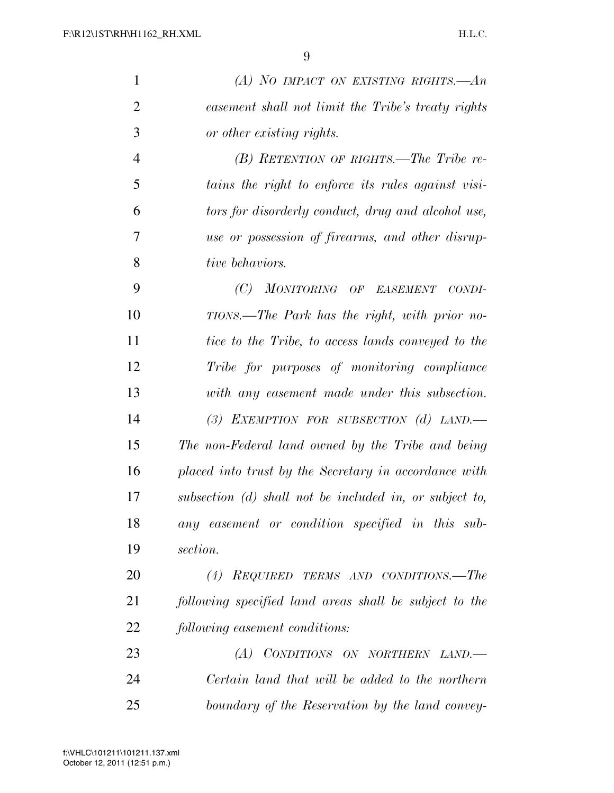| $\mathbf{1}$   | (A) NO IMPACT ON EXISTING RIGHTS. $-An$                 |
|----------------|---------------------------------------------------------|
| $\overline{2}$ | easement shall not limit the Tribe's treaty rights      |
| 3              | or other existing rights.                               |
| $\overline{4}$ | $(B)$ RETENTION OF RIGHTS.—The Tribe re-                |
| 5              | tains the right to enforce its rules against visi-      |
| 6              | tors for disorderly conduct, drug and alcohol use,      |
| 7              | use or possession of firearms, and other disrup-        |
| 8              | tive behaviors.                                         |
| 9              | (C)<br>MONITORING OF EASEMENT CONDI-                    |
| 10             | TIONS.—The Park has the right, with prior no-           |
| 11             | tice to the Tribe, to access lands conveyed to the      |
| 12             | Tribe for purposes of monitoring compliance             |
| 13             | with any easement made under this subsection.           |
| 14             | (3) EXEMPTION FOR SUBSECTION (d) LAND.                  |
| 15             | The non-Federal land owned by the Tribe and being       |
| 16             | placed into trust by the Secretary in accordance with   |
| 17             | subsection (d) shall not be included in, or subject to, |
| 18             | any easement or condition specified in this sub-        |
| 19             | section.                                                |
| 20             | (4) REQUIRED TERMS AND CONDITIONS.—The                  |
| 21             | following specified land areas shall be subject to the  |
| 22             | following easement conditions:                          |
| 23             | (A) CONDITIONS ON NORTHERN LAND.                        |
| 24             | Certain land that will be added to the northern         |
| 25             | boundary of the Reservation by the land convey-         |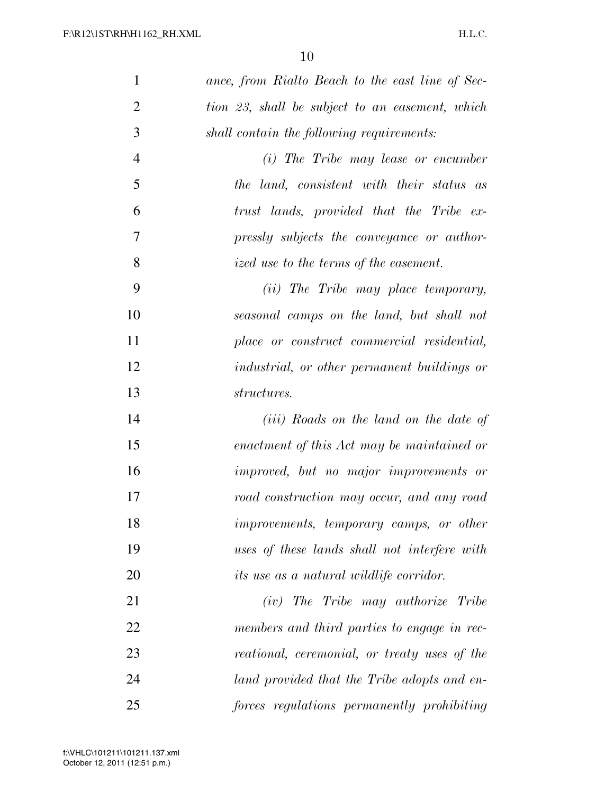| $\mathbf{1}$   | ance, from Rialto Beach to the east line of Sec- |
|----------------|--------------------------------------------------|
| $\overline{2}$ | tion 23, shall be subject to an easement, which  |
| 3              | shall contain the following requirements:        |
| $\overline{4}$ | $(i)$ The Tribe may lease or encumber            |
| 5              | the land, consistent with their status as        |
| 6              | trust lands, provided that the Tribe ex-         |
| 7              | pressly subjects the conveyance or author-       |
| 8              | ized use to the terms of the easement.           |
| 9              | (ii) The Tribe may place temporary,              |
| 10             | seasonal camps on the land, but shall not        |
| 11             | place or construct commercial residential,       |
| 12             | industrial, or other permanent buildings or      |
| 13             | structures.                                      |
| 14             | ( <i>iii</i> ) Roads on the land on the date of  |
| 15             | enactment of this Act may be maintained or       |
| 16             | improved, but no major improvements or           |
| 17             | road construction may occur, and any road        |
| 18             | improvements, temporary camps, or other          |
| 19             | uses of these lands shall not interfere with     |
| 20             | <i>its use as a natural wildlife corridor.</i>   |
| 21             | $(iv)$ The Tribe may authorize Tribe             |
| 22             | members and third parties to engage in rec-      |
| 23             | reational, ceremonial, or treaty uses of the     |
| 24             | land provided that the Tribe adopts and en-      |
| 25             | forces regulations permanently prohibiting       |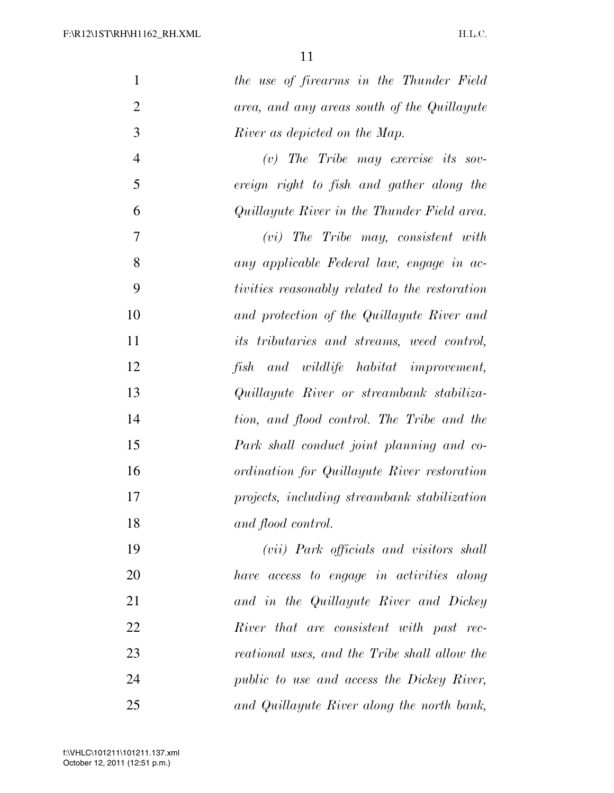| $\mathbf{1}$   | the use of firearms in the Thunder Field              |
|----------------|-------------------------------------------------------|
| $\overline{2}$ | area, and any areas south of the Quillayute           |
| 3              | River as depicted on the Map.                         |
| $\overline{4}$ | $(v)$ The Tribe may exercise its sov-                 |
| 5              | ereign right to fish and gather along the             |
| 6              | Quillayute River in the Thunder Field area.           |
| 7              | $(vi)$ The Tribe may, consistent with                 |
| 8              | any applicable Federal law, engage in ac-             |
| 9              | <i>tivities reasonably related to the restoration</i> |
| 10             | and protection of the Quillayute River and            |
| 11             | <i>its tributaries and streams, weed control,</i>     |
| 12             | fish and wildlife habitat improvement,                |
| 13             | Quillayute River or streambank stabiliza-             |
| 14             | tion, and flood control. The Tribe and the            |
| 15             | Park shall conduct joint planning and co-             |
| 16             | ordination for Quillayute River restoration           |
| 17             | projects, including streambank stabilization          |
| 18             | and flood control.                                    |
| 19             | (vii) Park officials and visitors shall               |
| 20             | have access to engage in activities along             |
| 21             | and in the Quillayute River and Dickey                |
| 22             | River that are consistent with past rec-              |
| 23             | reational uses, and the Tribe shall allow the         |
| 24             | public to use and access the Dickey River,            |
| 25             | and Quillayute River along the north bank,            |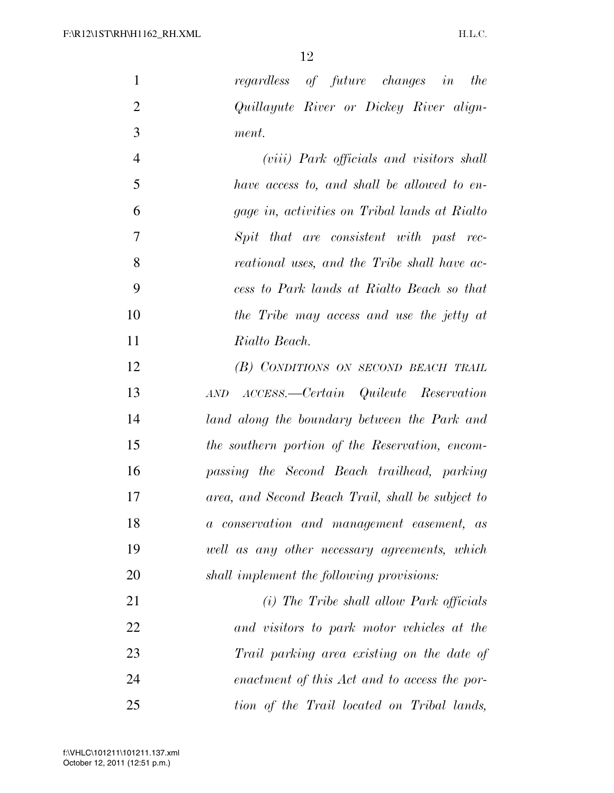| regardless of future changes in the     |  |  |  |
|-----------------------------------------|--|--|--|
| Quillayute River or Dickey River align- |  |  |  |
| ment.                                   |  |  |  |

| $\overline{4}$ | (viii) Park officials and visitors shall      |
|----------------|-----------------------------------------------|
| $\overline{5}$ | have access to, and shall be allowed to en-   |
| 6              | gage in, activities on Tribal lands at Rialto |
| 7              | Spit that are consistent with past rec-       |
| 8              | reational uses, and the Tribe shall have ac-  |
| -9             | cess to Park lands at Rialto Beach so that    |
| 10             | the Tribe may access and use the jetty at     |
| 11             | Rialto Beach.                                 |

 *(B) CONDITIONS ON SECOND BEACH TRAIL AND ACCESS.—Certain Quileute Reservation land along the boundary between the Park and the southern portion of the Reservation, encom- passing the Second Beach trailhead, parking area, and Second Beach Trail, shall be subject to a conservation and management easement, as well as any other necessary agreements, which shall implement the following provisions:* 

 *(i) The Tribe shall allow Park officials and visitors to park motor vehicles at the Trail parking area existing on the date of enactment of this Act and to access the por-tion of the Trail located on Tribal lands,*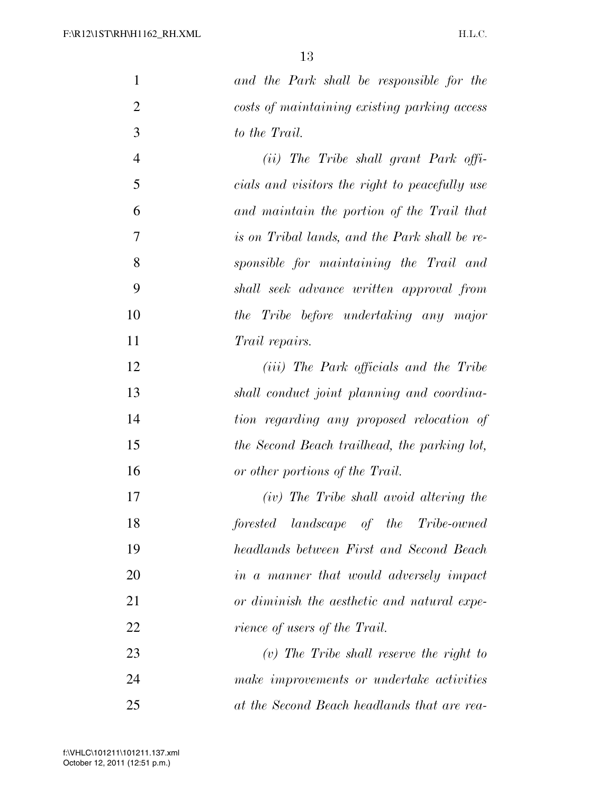| $\mathbf{1}$   | and the Park shall be responsible for the       |
|----------------|-------------------------------------------------|
| $\overline{2}$ | costs of maintaining existing parking access    |
| 3              | to the Trail.                                   |
| $\overline{4}$ | $(ii)$ The Tribe shall grant Park offi-         |
| 5              | cials and visitors the right to peacefully use  |
| 6              | and maintain the portion of the Trail that      |
| 7              | is on Tribal lands, and the Park shall be re-   |
| 8              | sponsible for maintaining the Trail and         |
| 9              | shall seek advance written approval from        |
| 10             | the Tribe before undertaking any major          |
| 11             | Trail repairs.                                  |
| 12             | ( <i>iii</i> ) The Park officials and the Tribe |
| 13             | shall conduct joint planning and coordina-      |
| 14             | tion regarding any proposed relocation of       |
| 15             | the Second Beach trailhead, the parking lot,    |
| 16             | or other portions of the Trail.                 |
| 17             | (iv) The Tribe shall avoid altering the         |
| 18             | forested landscape of the Tribe-owned           |
| 19             | headlands between First and Second Beach        |
| 20             | in a manner that would adversely impact         |
| 21             | or diminish the aesthetic and natural expe-     |
| 22             | rience of users of the Trail.                   |
| 23             | $(v)$ The Tribe shall reserve the right to      |
| 24             | make improvements or undertake activities       |
| 25             | at the Second Beach headlands that are rea-     |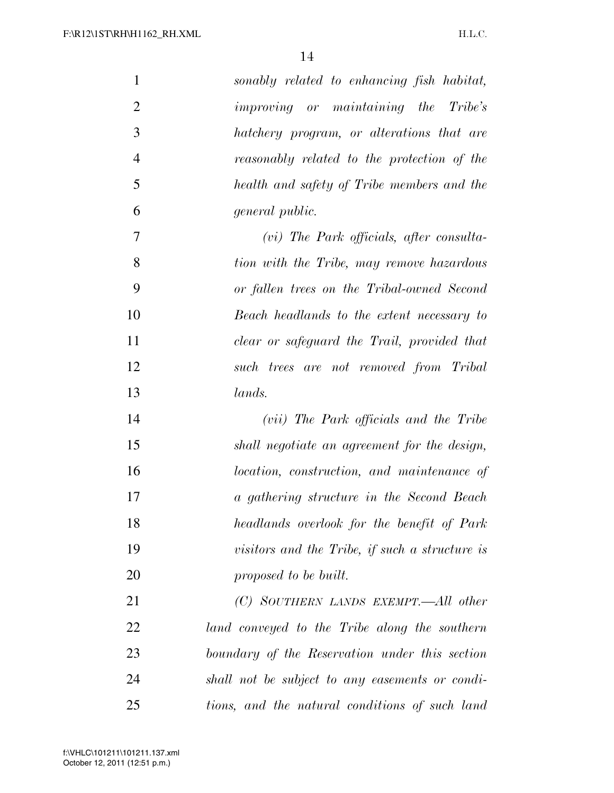| $\mathbf{1}$   | sonably related to enhancing fish habitat,      |
|----------------|-------------------------------------------------|
| $\overline{2}$ | improving or maintaining the Tribe's            |
| 3              | hatchery program, or alterations that are       |
| $\overline{4}$ | reasonably related to the protection of the     |
| 5              | health and safety of Tribe members and the      |
| 6              | general public.                                 |
| $\tau$         | $(vi)$ The Park officials, after consulta-      |
| 8              | tion with the Tribe, may remove hazardous       |
| 9              | or fallen trees on the Tribal-owned Second      |
| 10             | Beach headlands to the extent necessary to      |
| 11             | clear or safeguard the Trail, provided that     |
| 12             | such trees are not removed from Tribal          |
| 13             | lands.                                          |
| 14             | (vii) The Park officials and the Tribe          |
| 15             | shall negotiate an agreement for the design,    |
| 16             | location, construction, and maintenance of      |
| 17             | a gathering structure in the Second Beach       |
| 18             | headlands overlook for the benefit of Park      |
| 19             | visitors and the Tribe, if such a structure is  |
| 20             | proposed to be built.                           |
| 21             | $(C)$ SOUTHERN LANDS EXEMPT.—All other          |
| 22             | land conveyed to the Tribe along the southern   |
| 23             | boundary of the Reservation under this section  |
| 24             | shall not be subject to any easements or condi- |
| 25             | tions, and the natural conditions of such land  |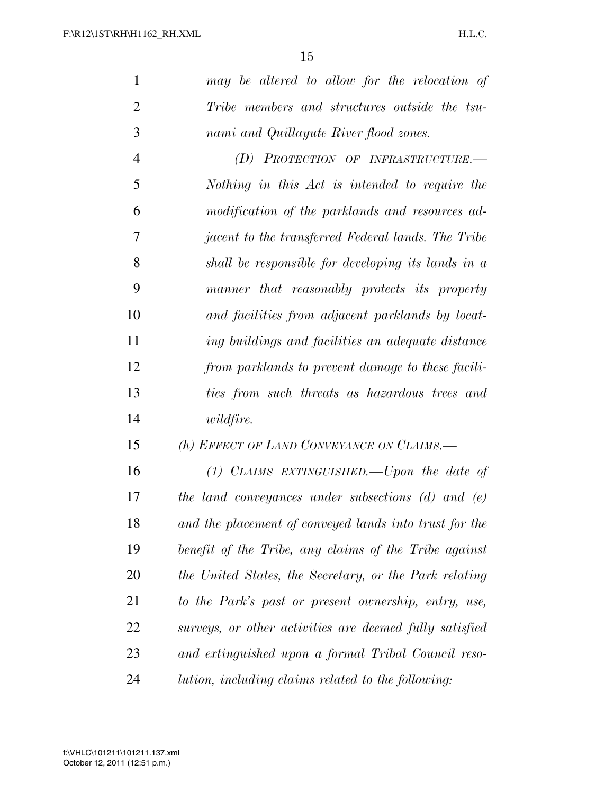| $\mathbf{1}$   | may be altered to allow for the relocation of             |
|----------------|-----------------------------------------------------------|
| $\overline{2}$ | Tribe members and structures outside the tsu-             |
| 3              | nami and Quillayute River flood zones.                    |
| $\overline{4}$ | (D) PROTECTION OF INFRASTRUCTURE.-                        |
| 5              | Nothing in this Act is intended to require the            |
| 6              | modification of the parklands and resources ad-           |
| 7              | <i>jacent to the transferred Federal lands. The Tribe</i> |
| 8              | shall be responsible for developing its lands in a        |
| 9              | manner that reasonably protects its property              |
| 10             | and facilities from adjacent parklands by locat-          |
| 11             | ing buildings and facilities an adequate distance         |
| 12             | from parklands to prevent damage to these facili-         |
| 13             | ties from such threats as hazardous trees and             |
| 14             | <i>wildfire.</i>                                          |
| 15             | (h) EFFECT OF LAND CONVEYANCE ON CLAIMS.—                 |
| 16             | $(1)$ CLAIMS EXTINGUISHED. - Upon the date of             |
| 17             | the land conveyances under subsections $(d)$ and $(e)$    |
| 18             | and the placement of conveyed lands into trust for the    |
| 19             | benefit of the Tribe, any claims of the Tribe against     |
| 20             | the United States, the Secretary, or the Park relating    |
| 21             | to the Park's past or present ownership, entry, use,      |
| 22             | surveys, or other activities are deemed fully satisfied   |
| 23             | and extinguished upon a formal Tribal Council reso-       |
|                |                                                           |

*lution, including claims related to the following:*